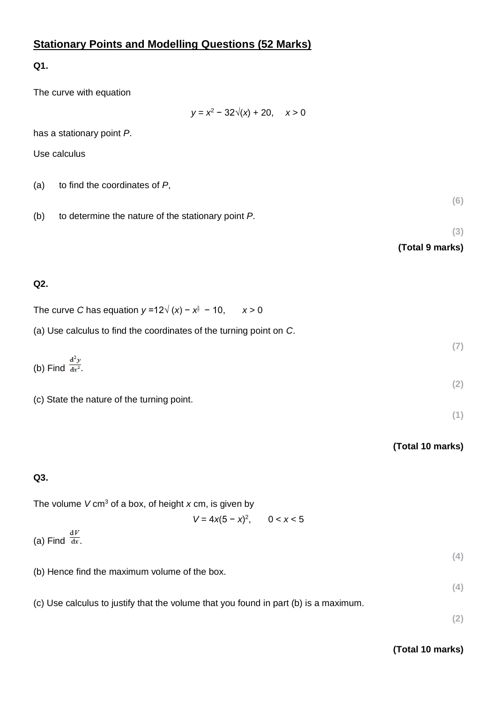# **Stationary Points and Modelling Questions (52 Marks)**

**Q1.**

The curve with equation

*y* = *x* <sup>2</sup> − 32√(*x*) + 20, *x* > 0

has a stationary point *P*.

Use calculus

| (a) | to find the coordinates of P, |
|-----|-------------------------------|
|-----|-------------------------------|

(b) to determine the nature of the stationary point *P*.

**(6)**

**(3) (Total 9 marks)**

### **Q2.**

| The curve C has equation $y = 12\sqrt{(x)} - x^{\frac{3}{2}} - 10$ , $x > 0$ |  |  |
|------------------------------------------------------------------------------|--|--|
|------------------------------------------------------------------------------|--|--|

(a) Use calculus to find the coordinates of the turning point on *C*.

|                                | (7) |
|--------------------------------|-----|
| (b) Find $\frac{d^2y}{dx^2}$ . |     |
|                                | (2) |

(c) State the nature of the turning point.

#### **(Total 10 marks)**

**(1)**

## **Q3.**

The volume *V* cm<sup>3</sup> of a box, of height *x* cm, is given by

 $V = 4x(5 - x)^2$ , 0 < *x* < 5

(a) Find  $\frac{dV}{dx}$ .

(b) Hence find the maximum volume of the box.

(c) Use calculus to justify that the volume that you found in part (b) is a maximum.

**(2)**

**(4)**

**(4)**

#### **(Total 10 marks)**